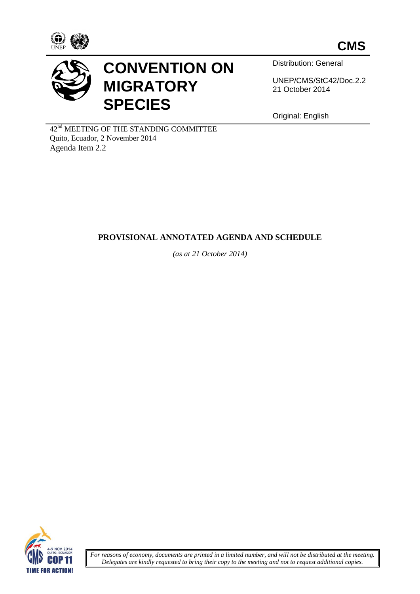



## **CONVENTION ON MIGRATORY SPECIES**

Distribution: General

UNEP/CMS/StC42/Doc.2.2 21 October 2014

Original: English

42nd MEETING OF THE STANDING COMMITTEE Quito, Ecuador, 2 November 2014 Agenda Item 2.2

## **PROVISIONAL ANNOTATED AGENDA AND SCHEDULE**

*(as at 21 October 2014)*



*For reasons of economy, documents are printed in a limited number, and will not be distributed at the meeting. Delegates are kindly requested to bring their copy to the meeting and not to request additional copies.*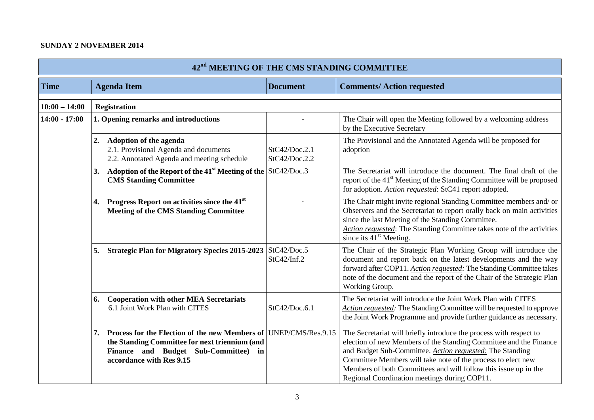## **SUNDAY 2 NOVEMBER 2014**

| 42 <sup>nd</sup> MEETING OF THE CMS STANDING COMMITTEE |                                                                                                                                                                            |                                |                                                                                                                                                                                                                                                                                                                                                                                        |  |  |
|--------------------------------------------------------|----------------------------------------------------------------------------------------------------------------------------------------------------------------------------|--------------------------------|----------------------------------------------------------------------------------------------------------------------------------------------------------------------------------------------------------------------------------------------------------------------------------------------------------------------------------------------------------------------------------------|--|--|
| <b>Time</b>                                            | <b>Agenda Item</b>                                                                                                                                                         | <b>Document</b>                | <b>Comments/Action requested</b>                                                                                                                                                                                                                                                                                                                                                       |  |  |
| $10:00 - 14:00$                                        | <b>Registration</b>                                                                                                                                                        |                                |                                                                                                                                                                                                                                                                                                                                                                                        |  |  |
| $14:00 - 17:00$                                        | 1. Opening remarks and introductions                                                                                                                                       |                                | The Chair will open the Meeting followed by a welcoming address<br>by the Executive Secretary                                                                                                                                                                                                                                                                                          |  |  |
|                                                        | 2.<br>Adoption of the agenda<br>2.1. Provisional Agenda and documents<br>2.2. Annotated Agenda and meeting schedule                                                        | StC42/Doc.2.1<br>StC42/Doc.2.2 | The Provisional and the Annotated Agenda will be proposed for<br>adoption                                                                                                                                                                                                                                                                                                              |  |  |
|                                                        | Adoption of the Report of the 41 <sup>st</sup> Meeting of the StC42/Doc.3<br>3.<br><b>CMS Standing Committee</b>                                                           |                                | The Secretariat will introduce the document. The final draft of the<br>report of the 41 <sup>st</sup> Meeting of the Standing Committee will be proposed<br>for adoption. Action requested: StC41 report adopted.                                                                                                                                                                      |  |  |
|                                                        | Progress Report on activities since the 41 <sup>st</sup><br>4.<br><b>Meeting of the CMS Standing Committee</b>                                                             |                                | The Chair might invite regional Standing Committee members and/ or<br>Observers and the Secretariat to report orally back on main activities<br>since the last Meeting of the Standing Committee.<br>Action requested: The Standing Committee takes note of the activities<br>since its $41st$ Meeting.                                                                                |  |  |
|                                                        | Strategic Plan for Migratory Species 2015-2023 StC42/Doc.5<br>5.                                                                                                           | StC42/Inf.2                    | The Chair of the Strategic Plan Working Group will introduce the<br>document and report back on the latest developments and the way<br>forward after COP11. Action requested: The Standing Committee takes<br>note of the document and the report of the Chair of the Strategic Plan<br>Working Group.                                                                                 |  |  |
|                                                        | <b>Cooperation with other MEA Secretariats</b><br>6.<br>6.1 Joint Work Plan with CITES                                                                                     | StC42/Doc.6.1                  | The Secretariat will introduce the Joint Work Plan with CITES<br>Action requested: The Standing Committee will be requested to approve<br>the Joint Work Programme and provide further guidance as necessary.                                                                                                                                                                          |  |  |
|                                                        | Process for the Election of the new Members of<br>7.<br>the Standing Committee for next triennium (and<br>Finance and Budget Sub-Committee) in<br>accordance with Res 9.15 | UNEP/CMS/Res.9.15              | The Secretariat will briefly introduce the process with respect to<br>election of new Members of the Standing Committee and the Finance<br>and Budget Sub-Committee. Action requested: The Standing<br>Committee Members will take note of the process to elect new<br>Members of both Committees and will follow this issue up in the<br>Regional Coordination meetings during COP11. |  |  |